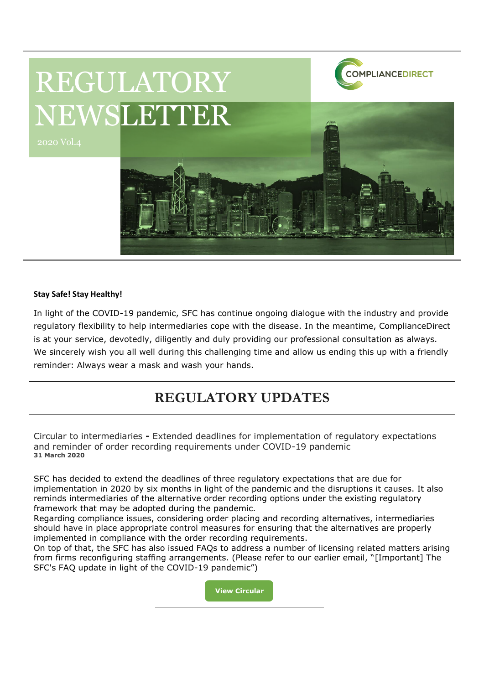

# REGULATORY NEWSLETTER

#### **Stay Safe! Stay Healthy!**

In light of the COVID-19 pandemic, SFC has continue ongoing dialogue with the industry and provide regulatory flexibility to help intermediaries cope with the disease. In the meantime, ComplianceDirect is at your service, devotedly, diligently and duly providing our professional consultation as always. We sincerely wish you all well during this challenging time and allow us ending this up with a friendly reminder: Always wear a mask and wash your hands.

# **REGULATORY UPDATES**

Circular to intermediaries **-** Extended deadlines for implementation of regulatory expectations and reminder of order recording requirements under COVID-19 pandemic **31 March 2020**

SFC has decided to extend the deadlines of three regulatory expectations that are due for implementation in 2020 by six months in light of the pandemic and the disruptions it causes. It also reminds intermediaries of the alternative order recording options under the existing regulatory framework that may be adopted during the pandemic.

Regarding compliance issues, considering order placing and recording alternatives, intermediaries should have in place appropriate control measures for ensuring that the alternatives are properly implemented in compliance with the order recording requirements.

On top of that, the SFC has also issued FAQs to address a number of licensing related matters arising from firms reconfiguring staffing arrangements. (Please refer to our earlier email, "[Important] The SFC's FAQ update in light of the COVID-19 pandemic")

> **View Circular [Chttps://ww](https://www.sfc.hk/edistributionWeb/gateway/EN/circular/intermediaries/supervision/doc?refNo=20EC26)**